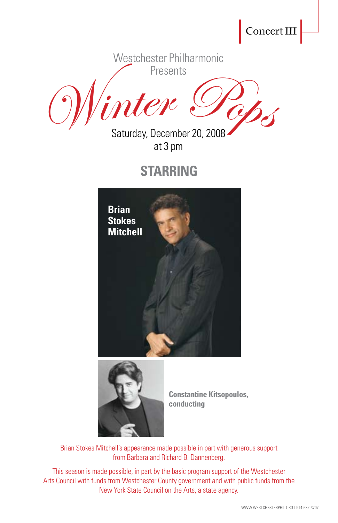Concert III

Westchester Philharmonic Presents

Winter Pop.

Saturday, December 20, 2008 at 3 pm

# **STARRING**





**Constantine Kitsopoulos, conducting**

Brian Stokes Mitchell's appearance made possible in part with generous support from Barbara and Richard B. Dannenberg.

This season is made possible, in part by the basic program support of the Westchester Arts Council with funds from Westchester County government and with public funds from the New York State Council on the Arts, a state agency.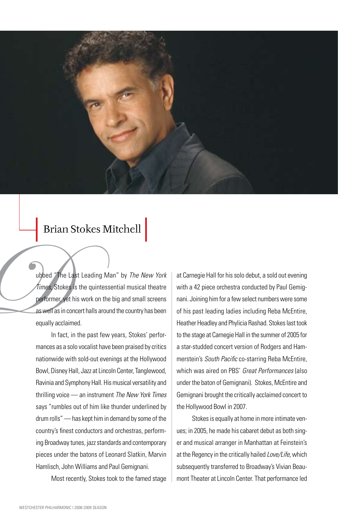

### Brian Stokes Mitchell

The Times, Stoke<br>
Dentormer<br>
As well as in c<br>
equally accla<br>
In fact ubbed "The Last Leading Man" by *The New York Times*, Stokes is the quintessential musical theatre performer, yet his work on the big and small screens as well as in concert halls around the country has been equally acclaimed.

In fact, in the past few years, Stokes' performances as a solo vocalist have been praised by critics nationwide with sold-out evenings at the Hollywood Bowl, Disney Hall, Jazz at Lincoln Center, Tanglewood, Ravinia and Symphony Hall. His musical versatility and thrilling voice — an instrument *The New York Times*  says "rumbles out of him like thunder underlined by drum rolls" — has kept him in demand by some of the country's finest conductors and orchestras, performing Broadway tunes, jazz standards and contemporary pieces under the batons of Leonard Slatkin, Marvin Hamlisch, John Williams and Paul Gemignani.

Most recently, Stokes took to the famed stage

at Carnegie Hall for his solo debut, a sold out evening with a 42 piece orchestra conducted by Paul Gemignani. Joining him for a few select numbers were some of his past leading ladies including Reba McEntire, Heather Headley and Phylicia Rashad. Stokes last took to the stage at Carnegie Hall in the summer of 2005 for a star-studded concert version of Rodgers and Hammerstein's *South Pacific* co-starring Reba McEntire, which was aired on PBS' *Great Performances* (also under the baton of Gemignani). Stokes, McEntire and Gemignani brought the critically acclaimed concert to the Hollywood Bowl in 2007.

Stokes is equally at home in more intimate venues; in 2005, he made his cabaret debut as both singer and musical arranger in Manhattan at Feinstein's at the Regency in the critically hailed *Love/Life*, which subsequently transferred to Broadway's Vivian Beaumont Theater at Lincoln Center. That performance led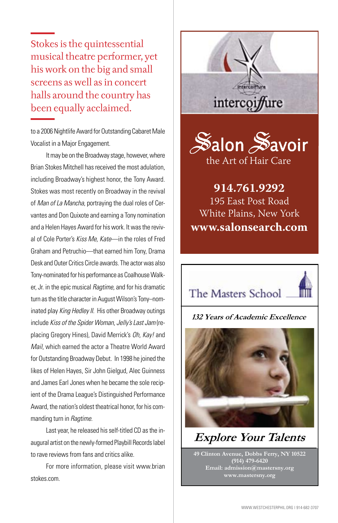Stokes is the quintessential musical theatre performer, yet his work on the big and small screens as well as in concert halls around the country has been equally acclaimed.

to a 2006 Nightlife Award for Outstanding Cabaret Male Vocalist in a Major Engagement.

It may be on the Broadway stage, however, where Brian Stokes Mitchell has received the most adulation, including Broadway's highest honor, the Tony Award.  $\vert$ Stokes was most recently on Broadway in the revival of *Man of La Mancha*, portraying the dual roles of Cervantes and Don Quixote and earning a Tony nomination and a Helen Hayes Award for his work. It was the revival of Cole Porter's *Kiss Me, Kate*—in the roles of Fred Graham and Petruchio—that earned him Tony, Drama Desk and Outer Critics Circle awards. The actor was also Tony-nominated for his performance as Coalhouse Walker, Jr. in the epic musical *Ragtime,* and for his dramatic turn as the title character in August Wilson's Tony–nominated play *King Hedley II.* His other Broadway outings include *Kiss of the Spider Woman*, *Jelly's Last Jam* (replacing Gregory Hines), David Merrick's *Oh, Kay!* and *Mail*, which earned the actor a Theatre World Award for Outstanding Broadway Debut. In 1998 he joined the likes of Helen Hayes, Sir John Gielgud, Alec Guinness and James Earl Jones when he became the sole recipient of the Drama League's Distinguished Performance Award, the nation's oldest theatrical honor, for his commanding turn in *Ragtime*.

Last year, he released his self-titled CD as the inaugural artist on the newly-formed Playbill Records label to rave reviews from fans and critics alike.

For more information, please visit www.brian stokes.com.





**914.761.9292** 195 East Post Road White Plains, New York **www.salonsearch.com**



 3 1/2 X 2 1/8 (Draft Approx to size)

#### **132 Years of Academic Excellence**



**Explore Your Talents** 

**49 Clinton Avenue, Dobbs Ferry, NY 10522 (914) 479-6420 Email: admission@mastersny.org www.mastersny.org**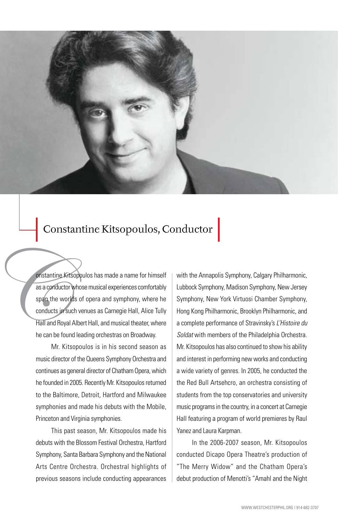

## Constantine Kitsopoulos, Conductor

Onstantine K<br>
as a conductor<br>
span, the word<br>
conducts in s<br>
Hall and Roys<br>
he can be for onstantine Kitsopoulos has made a name for himself as a conductor whose musical experiences comfortably span the worlds of opera and symphony, where he conducts in such venues as Carnegie Hall, Alice Tully Hall and Royal Albert Hall, and musical theater, where he can be found leading orchestras on Broadway.

Mr. Kitsopoulos is in his second season as music director of the Queens Symphony Orchestra and continues as general director of Chatham Opera, which he founded in 2005. Recently Mr. Kitsopoulos returned to the Baltimore, Detroit, Hartford and Milwaukee symphonies and made his debuts with the Mobile, Princeton and Virginia symphonies.

This past season, Mr. Kitsopoulos made his debuts with the Blossom Festival Orchestra, Hartford Symphony, Santa Barbara Symphony and the National Arts Centre Orchestra. Orchestral highlights of previous seasons include conducting appearances

with the Annapolis Symphony, Calgary Philharmonic, Lubbock Symphony, Madison Symphony, New Jersey Symphony, New York Virtuosi Chamber Symphony, Hong Kong Philharmonic, Brooklyn Philharmonic, and a complete performance of Stravinsky's *L'Histoire du Soldat* with members of the Philadelphia Orchestra. Mr. Kitsopoulos has also continued to show his ability and interest in performing new works and conducting a wide variety of genres. In 2005, he conducted the the Red Bull Artsehcro, an orchestra consisting of students from the top conservatories and university music programs in the country, in a concert at Carnegie Hall featuring a program of world premieres by Raul Yanez and Laura Karpman.

In the 2006-2007 season, Mr. Kitsopoulos conducted Dicapo Opera Theatre's production of "The Merry Widow" and the Chatham Opera's debut production of Menotti's "Amahl and the Night